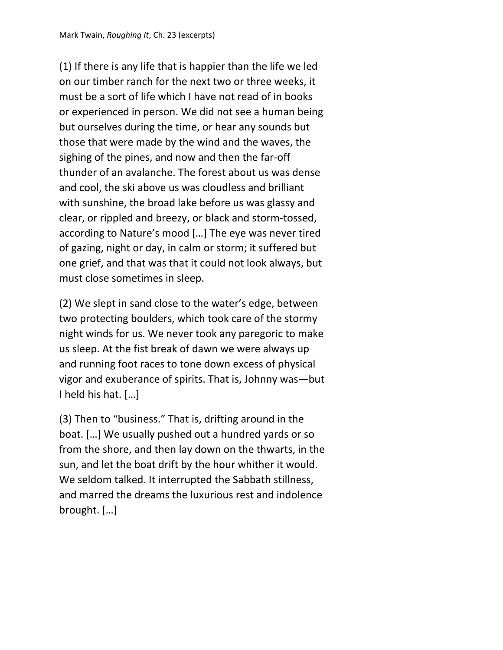(1) If there is any life that is happier than the life we led on our timber ranch for the next two or three weeks, it must be a sort of life which I have not read of in books or experienced in person. We did not see a human being but ourselves during the time, or hear any sounds but those that were made by the wind and the waves, the sighing of the pines, and now and then the far-off thunder of an avalanche. The forest about us was dense and cool, the ski above us was cloudless and brilliant with sunshine, the broad lake before us was glassy and clear, or rippled and breezy, or black and storm-tossed, according to Nature's mood […] The eye was never tired of gazing, night or day, in calm or storm; it suffered but one grief, and that was that it could not look always, but must close sometimes in sleep.

(2) We slept in sand close to the water's edge, between two protecting boulders, which took care of the stormy night winds for us. We never took any paregoric to make us sleep. At the fist break of dawn we were always up and running foot races to tone down excess of physical vigor and exuberance of spirits. That is, Johnny was—but I held his hat. […]

(3) Then to "business." That is, drifting around in the boat. […] We usually pushed out a hundred yards or so from the shore, and then lay down on the thwarts, in the sun, and let the boat drift by the hour whither it would. We seldom talked. It interrupted the Sabbath stillness, and marred the dreams the luxurious rest and indolence brought. […]